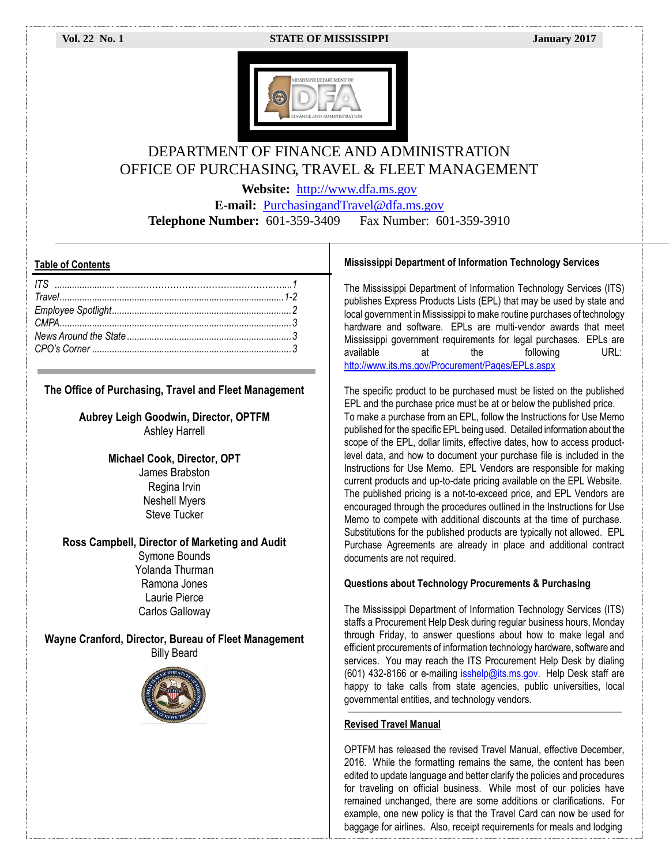#### **Vol. 22 No. 1 STATE OF MISSISSIPPI January 2017**



# DEPARTMENT OF FINANCE AND ADMINISTRATION OFFICE OF PURCHASING, TRAVEL & FLEET MANAGEMENT

**Website:** [http://www.dfa.ms.gov](http://www.dfa.ms.gov/)

**E-mail:** [PurchasingandTravel@dfa.ms.gov](mailto:PurchasingandTravel@dfa.ms.gov) **Telephone Number:** 601-359-3409 Fax Number: 601-359-3910

## **Table of Contents**

## **The Office of Purchasing, Travel and Fleet Management**

**Aubrey Leigh Goodwin, Director, OPTFM** Ashley Harrell

> **Michael Cook, Director, OPT** James Brabston Regina Irvin Neshell Myers Steve Tucker

### **Ross Campbell, Director of Marketing and Audit**

Symone Bounds Yolanda Thurman Ramona Jones Laurie Pierce Carlos Galloway

**Wayne Cranford, Director, Bureau of Fleet Management** Billy Beard



#### **Mississippi Department of Information Technology Services**

The Mississippi Department of Information Technology Services (ITS) publishes Express Products Lists (EPL) that may be used by state and local government in Mississippi to make routine purchases of technology hardware and software. EPLs are multi-vendor awards that meet Mississippi government requirements for legal purchases. EPLs are available at the following URL: <http://www.its.ms.gov/Procurement/Pages/EPLs.aspx>

The specific product to be purchased must be listed on the published EPL and the purchase price must be at or below the published price. To make a purchase from an EPL, follow the Instructions for Use Memo published for the specific EPL being used. Detailed information about the scope of the EPL, dollar limits, effective dates, how to access productlevel data, and how to document your purchase file is included in the Instructions for Use Memo. EPL Vendors are responsible for making current products and up-to-date pricing available on the EPL Website. The published pricing is a not-to-exceed price, and EPL Vendors are encouraged through the procedures outlined in the Instructions for Use Memo to compete with additional discounts at the time of purchase. Substitutions for the published products are typically not allowed. EPL Purchase Agreements are already in place and additional contract documents are not required.

### **Questions about Technology Procurements & Purchasing**

The Mississippi Department of Information Technology Services (ITS) staffs a Procurement Help Desk during regular business hours, Monday through Friday, to answer questions about how to make legal and efficient procurements of information technology hardware, software and services. You may reach the ITS Procurement Help Desk by dialing (601) 432-8166 or e-mailing [isshelp@its.ms.gov.](mailto:isshelp@its.ms.gov) Help Desk staff are happy to take calls from state agencies, public universities, local governmental entities, and technology vendors.

#### **Revised Travel Manual**

OPTFM has released the revised Travel Manual, effective December, 2016. While the formatting remains the same, the content has been edited to update language and better clarify the policies and procedures for traveling on official business. While most of our policies have remained unchanged, there are some additions or clarifications. For example, one new policy is that the Travel Card can now be used for baggage for airlines. Also, receipt requirements for meals and lodging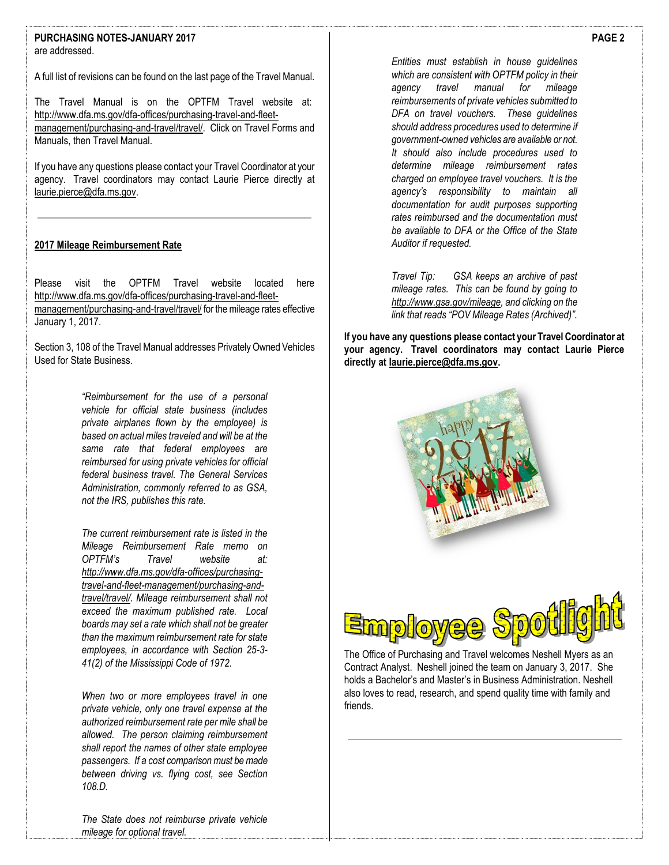#### **PURCHASING NOTES-JANUARY 2017** are addressed.

A full list of revisions can be found on the last page of the Travel Manual.

The Travel Manual is on the OPTFM Travel website at: [http://www.dfa.ms.gov/dfa-offices/purchasing-travel-and-fleet](http://www.dfa.ms.gov/dfa-offices/purchasing-travel-and-fleet-management/purchasing-and-travel/travel/)[management/purchasing-and-travel/travel/.](http://www.dfa.ms.gov/dfa-offices/purchasing-travel-and-fleet-management/purchasing-and-travel/travel/) Click on Travel Forms and Manuals, then Travel Manual.

If you have any questions please contact your Travel Coordinator at your agency. Travel coordinators may contact Laurie Pierce directly at [laurie.pierce@dfa.ms.gov.](mailto:laurie.pierce@dfa.ms.gov) 

# **2017 Mileage Reimbursement Rate**

Please visit the OPTFM Travel website located here [http://www.dfa.ms.gov/dfa-offices/purchasing-travel-and-fleet](http://www.dfa.ms.gov/dfa-offices/purchasing-travel-and-fleet-management/purchasing-and-travel/travel/)[management/purchasing-and-travel/travel/](http://www.dfa.ms.gov/dfa-offices/purchasing-travel-and-fleet-management/purchasing-and-travel/travel/) for the mileage rates effective January 1, 2017.

Section 3, 108 of the Travel Manual addresses Privately Owned Vehicles Used for State Business.

> *"Reimbursement for the use of a personal vehicle for official state business (includes private airplanes flown by the employee) is based on actual miles traveled and will be at the same rate that federal employees are reimbursed for using private vehicles for official federal business travel. The General Services Administration, commonly referred to as GSA, not the IRS, publishes this rate.*

> *The current reimbursement rate is listed in the Mileage Reimbursement Rate memo on OPTFM's Travel website at: [http://www.dfa.ms.gov/dfa-offices/purchasing](http://www.dfa.ms.gov/dfa-offices/purchasing-travel-and-fleet-management/purchasing-and-travel/travel/)[travel-and-fleet-management/purchasing-and](http://www.dfa.ms.gov/dfa-offices/purchasing-travel-and-fleet-management/purchasing-and-travel/travel/)[travel/travel/.](http://www.dfa.ms.gov/dfa-offices/purchasing-travel-and-fleet-management/purchasing-and-travel/travel/) Mileage reimbursement shall not exceed the maximum published rate. Local boards may set a rate which shall not be greater than the maximum reimbursement rate for state employees, in accordance with Section 25-3- 41(2) of the Mississippi Code of 1972.*

> *When two or more employees travel in one private vehicle, only one travel expense at the authorized reimbursement rate per mile shall be allowed. The person claiming reimbursement shall report the names of other state employee passengers. If a cost comparison must be made between driving vs. flying cost, see Section 108.D.*

*Entities must establish in house guidelines which are consistent with OPTFM policy in their agency travel manual for mileage reimbursements of private vehicles submitted to DFA on travel vouchers. These guidelines should address procedures used to determine if government-owned vehicles are available or not. It should also include procedures used to determine mileage reimbursement rates charged on employee travel vouchers. It is the agency's responsibility to maintain all documentation for audit purposes supporting rates reimbursed and the documentation must be available to DFA or the Office of the State Auditor if requested.*

*Travel Tip: GSA keeps an archive of past mileage rates. This can be found by going to [http://www.gsa.gov/mileage,](http://www.gsa.gov/mileage) and clicking on the link that reads "POV Mileage Rates (Archived)".*

**If you have any questions please contact your Travel Coordinator at your agency. Travel coordinators may contact Laurie Pierce directly at [laurie.pierce@dfa.ms.gov.](mailto:laurie.pierce@dfa.ms.gov)** 





The Office of Purchasing and Travel welcomes Neshell Myers as an Contract Analyst. Neshell joined the team on January 3, 2017. She holds a Bachelor's and Master's in Business Administration. Neshell also loves to read, research, and spend quality time with family and friends.

**PAGE 2**

*The State does not reimburse private vehicle mileage for optional travel.*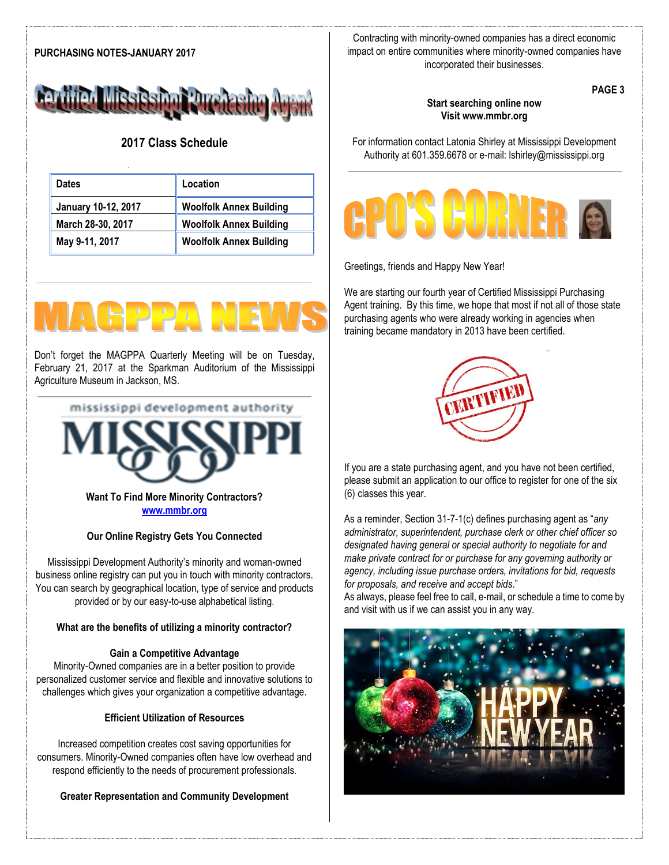# **PURCHASING NOTES-JANUARY 2017**



# **2017 Class Schedule**

| <b>Dates</b>        | Location                       |
|---------------------|--------------------------------|
| January 10-12, 2017 | <b>Woolfolk Annex Building</b> |
| March 28-30, 2017   | <b>Woolfolk Annex Building</b> |
| May 9-11, 2017      | <b>Woolfolk Annex Building</b> |

Don't forget the MAGPPA Quarterly Meeting will be on Tuesday, February 21, 2017 at the Sparkman Auditorium of the Mississippi Agriculture Museum in Jackson, MS.

mississippi development authority

**Want To Find More Minority Contractors? [www.mmbr.org](http://www.mmbr.org/)**

# **Our Online Registry Gets You Connected**

Mississippi Development Authority's minority and woman-owned business online registry can put you in touch with minority contractors. You can search by geographical location, type of service and products provided or by our easy-to-use alphabetical listing.

# **What are the benefits of utilizing a minority contractor?**

# **Gain a Competitive Advantage**

Minority-Owned companies are in a better position to provide personalized customer service and flexible and innovative solutions to challenges which gives your organization a competitive advantage.

# **Efficient Utilization of Resources**

Increased competition creates cost saving opportunities for consumers. Minority-Owned companies often have low overhead and respond efficiently to the needs of procurement professionals.

**Greater Representation and Community Development**

Contracting with minority-owned companies has a direct economic impact on entire communities where minority-owned companies have incorporated their businesses.

**PAGE 3**

# **Start searching online now Visit www.mmbr.org**

For information contact Latonia Shirley at Mississippi Development Authority at 601.359.6678 or e-mail: lshirley@mississippi.org



Greetings, friends and Happy New Year!

We are starting our fourth year of Certified Mississippi Purchasing Agent training. By this time, we hope that most if not all of those state purchasing agents who were already working in agencies when training became mandatory in 2013 have been certified.



If you are a state purchasing agent, and you have not been certified, please submit an application to our office to register for one of the six (6) classes this year.

As a reminder, Section 31-7-1(c) defines purchasing agent as "*any administrator, superintendent, purchase clerk or other chief officer so designated having general or special authority to negotiate for and make private contract for or purchase for any governing authority or agency, including issue purchase orders, invitations for bid, requests for proposals, and receive and accept bids*."

As always, please feel free to call, e-mail, or schedule a time to come by and visit with us if we can assist you in any way.